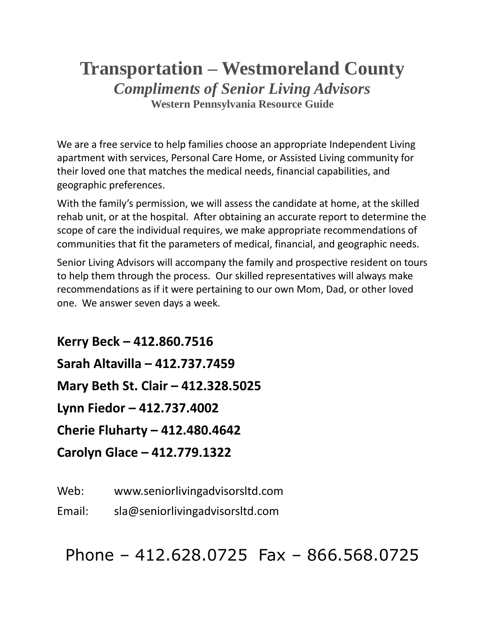# **Transportation – Westmoreland County** *Compliments of Senior Living Advisors* **Western Pennsylvania Resource Guide**

We are a free service to help families choose an appropriate Independent Living apartment with services, Personal Care Home, or Assisted Living community for their loved one that matches the medical needs, financial capabilities, and geographic preferences.

With the family's permission, we will assess the candidate at home, at the skilled rehab unit, or at the hospital. After obtaining an accurate report to determine the scope of care the individual requires, we make appropriate recommendations of communities that fit the parameters of medical, financial, and geographic needs.

Senior Living Advisors will accompany the family and prospective resident on tours to help them through the process. Our skilled representatives will always make recommendations as if it were pertaining to our own Mom, Dad, or other loved one. We answer seven days a week.

**Kerry Beck – 412.860.7516 Sarah Altavilla – 412.737.7459 Mary Beth St. Clair – 412.328.5025 Lynn Fiedor – 412.737.4002 Cherie Fluharty – 412.480.4642 Carolyn Glace – 412.779.1322**

Web: www.seniorlivingadvisorsltd.com

Email: sla@seniorlivingadvisorsltd.com

Phone – 412.628.0725 Fax – 866.568.0725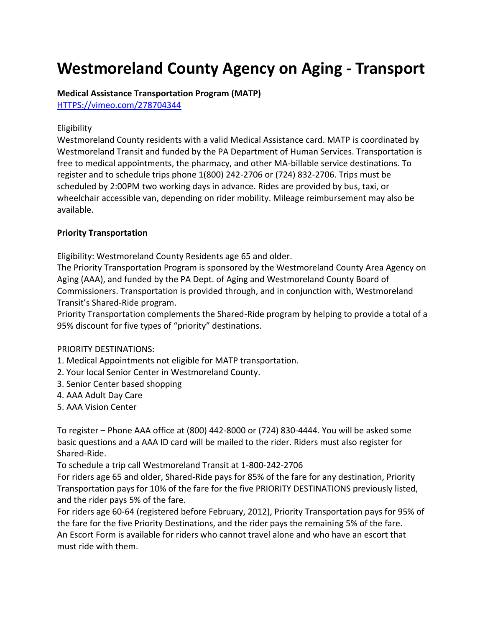# **Westmoreland County Agency on Aging - Transport**

#### **Medical Assistance Transportation Program (MATP)**

[HTTPS://vimeo.com/278704344](https://vimeo.com/278704344)

#### Eligibility

Westmoreland County residents with a valid Medical Assistance card. MATP is coordinated by Westmoreland Transit and funded by the PA Department of Human Services. Transportation is free to medical appointments, the pharmacy, and other MA-billable service destinations. To register and to schedule trips phone 1(800) 242-2706 or (724) 832-2706. Trips must be scheduled by 2:00PM two working days in advance. Rides are provided by bus, taxi, or wheelchair accessible van, depending on rider mobility. Mileage reimbursement may also be available.

#### **Priority Transportation**

Eligibility: Westmoreland County Residents age 65 and older.

The Priority Transportation Program is sponsored by the Westmoreland County Area Agency on Aging (AAA), and funded by the PA Dept. of Aging and Westmoreland County Board of Commissioners. Transportation is provided through, and in conjunction with, Westmoreland Transit's Shared-Ride program.

Priority Transportation complements the Shared-Ride program by helping to provide a total of a 95% discount for five types of "priority" destinations.

#### PRIORITY DESTINATIONS:

- 1. Medical Appointments not eligible for MATP transportation.
- 2. Your local Senior Center in Westmoreland County.
- 3. Senior Center based shopping
- 4. AAA Adult Day Care
- 5. AAA Vision Center

To register – Phone AAA office at (800) 442-8000 or (724) 830-4444. You will be asked some basic questions and a AAA ID card will be mailed to the rider. Riders must also register for Shared-Ride.

To schedule a trip call Westmoreland Transit at 1-800-242-2706

For riders age 65 and older, Shared-Ride pays for 85% of the fare for any destination, Priority Transportation pays for 10% of the fare for the five PRIORITY DESTINATIONS previously listed, and the rider pays 5% of the fare.

For riders age 60-64 (registered before February, 2012), Priority Transportation pays for 95% of the fare for the five Priority Destinations, and the rider pays the remaining 5% of the fare. An Escort Form is available for riders who cannot travel alone and who have an escort that must ride with them.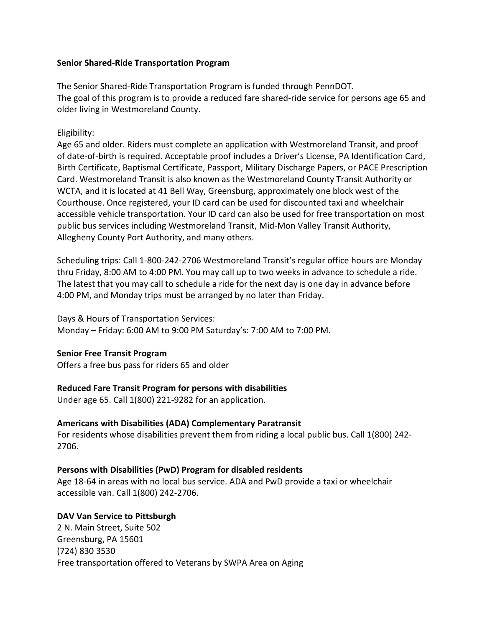#### **Senior Shared-Ride Transportation Program**

The Senior Shared-Ride Transportation Program is funded through PennDOT. The goal of this program is to provide a reduced fare shared-ride service for persons age 65 and older living in Westmoreland County.

#### Eligibility:

Age 65 and older. Riders must complete an application with Westmoreland Transit, and proof of date-of-birth is required. Acceptable proof includes a Driver's License, PA Identification Card, Birth Certificate, Baptismal Certificate, Passport, Military Discharge Papers, or PACE Prescription Card. Westmoreland Transit is also known as the Westmoreland County Transit Authority or WCTA, and it is located at 41 Bell Way, Greensburg, approximately one block west of the Courthouse. Once registered, your ID card can be used for discounted taxi and wheelchair accessible vehicle transportation. Your ID card can also be used for free transportation on most public bus services including Westmoreland Transit, Mid-Mon Valley Transit Authority, Allegheny County Port Authority, and many others.

Scheduling trips: Call 1-800-242-2706 Westmoreland Transit's regular office hours are Monday thru Friday, 8:00 AM to 4:00 PM. You may call up to two weeks in advance to schedule a ride. The latest that you may call to schedule a ride for the next day is one day in advance before 4:00 PM, and Monday trips must be arranged by no later than Friday.

#### Days & Hours of Transportation Services:

Monday – Friday: 6:00 AM to 9:00 PM Saturday's: 7:00 AM to 7:00 PM.

#### **Senior Free Transit Program**

Offers a free bus pass for riders 65 and older

# **Reduced Fare Transit Program for persons with disabilities**

Under age 65. Call 1(800) 221-9282 for an application.

# **Americans with Disabilities (ADA) Complementary Paratransit**

For residents whose disabilities prevent them from riding a local public bus. Call 1(800) 242- 2706.

# **Persons with Disabilities (PwD) Program for disabled residents**

Age 18-64 in areas with no local bus service. ADA and PwD provide a taxi or wheelchair accessible van. Call 1(800) 242-2706.

# **DAV Van Service to Pittsburgh**

2 N. Main Street, Suite 502 Greensburg, PA 15601 (724) 830 3530 Free transportation offered to Veterans by SWPA Area on Aging